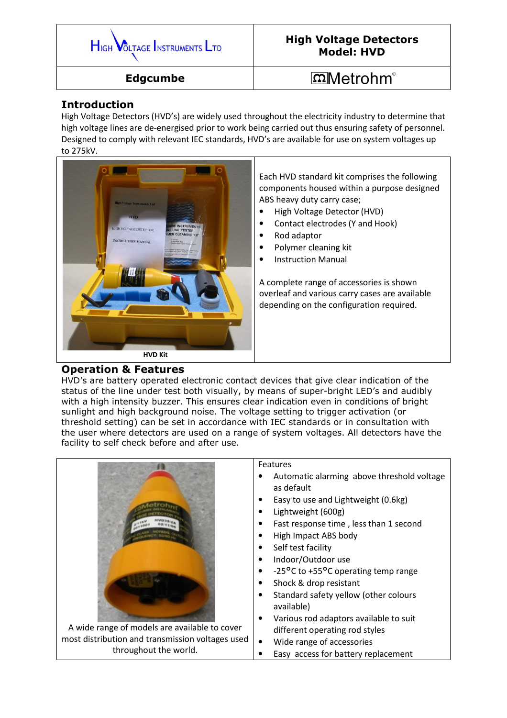

## High Voltage Detectors Model: HVD

Edgcumbe

# $\Omega$ Metrohm<sup>®</sup>

### Introduction

High Voltage Detectors (HVD's) are widely used throughout the electricity industry to determine that high voltage lines are de-energised prior to work being carried out thus ensuring safety of personnel. Designed to comply with relevant IEC standards, HVD's are available for use on system voltages up to 275kV.



Each HVD standard kit comprises the following components housed within a purpose designed ABS heavy duty carry case;

- High Voltage Detector (HVD)
- Contact electrodes (Y and Hook)
- Rod adaptor
- Polymer cleaning kit
- Instruction Manual

A complete range of accessories is shown overleaf and various carry cases are available depending on the configuration required.

#### Operation & Features

HVD's are battery operated electronic contact devices that give clear indication of the status of the line under test both visually, by means of super-bright LED's and audibly with a high intensity buzzer. This ensures clear indication even in conditions of bright sunlight and high background noise. The voltage setting to trigger activation (or threshold setting) can be set in accordance with IEC standards or in consultation with the user where detectors are used on a range of system voltages. All detectors have the facility to self check before and after use.

|                                                  | Features                                            |
|--------------------------------------------------|-----------------------------------------------------|
|                                                  | Automatic alarming above threshold voltage          |
|                                                  | as default                                          |
|                                                  | Easy to use and Lightweight (0.6kg)                 |
|                                                  | Lightweight (600g)                                  |
|                                                  | Fast response time, less than 1 second<br>$\bullet$ |
|                                                  | High Impact ABS body                                |
|                                                  | Self test facility                                  |
|                                                  | Indoor/Outdoor use                                  |
|                                                  | -25°C to +55°C operating temp range                 |
|                                                  | Shock & drop resistant                              |
|                                                  | Standard safety yellow (other colours               |
|                                                  | available)                                          |
|                                                  | Various rod adaptors available to suit              |
| A wide range of models are available to cover    | different operating rod styles                      |
| most distribution and transmission voltages used | Wide range of accessories<br>$\bullet$              |
| throughout the world.                            | Easy access for battery replacement                 |